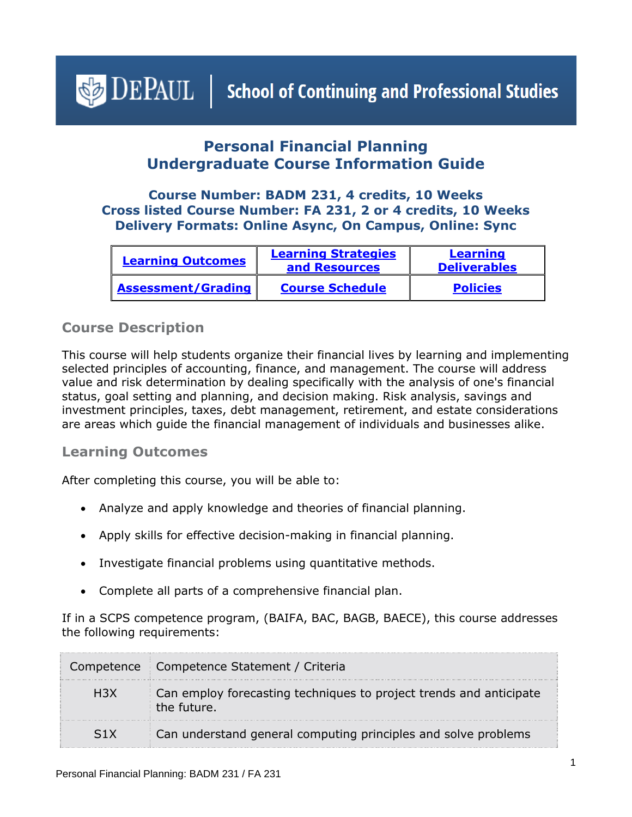# <span id="page-0-1"></span> $\bigcirc$  DEPAUL | School of Continuing and Professional Studies

# **Personal Financial Planning Undergraduate Course Information Guide**

## **Course Number: BADM 231, 4 credits, 10 Weeks Cross listed Course Number: FA 231, 2 or 4 credits, 10 Weeks Delivery Formats: Online Async, On Campus, Online: Sync**

| <b>Learning Outcomes</b>  | <b>Learning Strategies</b><br>and Resources | <b>Learning</b><br><b>Deliverables</b> |
|---------------------------|---------------------------------------------|----------------------------------------|
| <b>Assessment/Grading</b> | <b>Course Schedule</b>                      | <b>Policies</b>                        |

## **Course Description**

This course will help students organize their financial lives by learning and implementing selected principles of accounting, finance, and management. The course will address value and risk determination by dealing specifically with the analysis of one's financial status, goal setting and planning, and decision making. Risk analysis, savings and investment principles, taxes, debt management, retirement, and estate considerations are areas which guide the financial management of individuals and businesses alike.

## <span id="page-0-0"></span>**Learning Outcomes**

After completing this course, you will be able to:

- Analyze and apply knowledge and theories of financial planning.
- Apply skills for effective decision-making in financial planning.
- Investigate financial problems using quantitative methods.
- Complete all parts of a comprehensive financial plan.

If in a SCPS competence program, (BAIFA, BAC, BAGB, BAECE), this course addresses the following requirements:

|            | Competence   Competence Statement / Criteria                                      |
|------------|-----------------------------------------------------------------------------------|
| <b>H3X</b> | Can employ forecasting techniques to project trends and anticipate<br>the future. |
| S1X        | Can understand general computing principles and solve problems                    |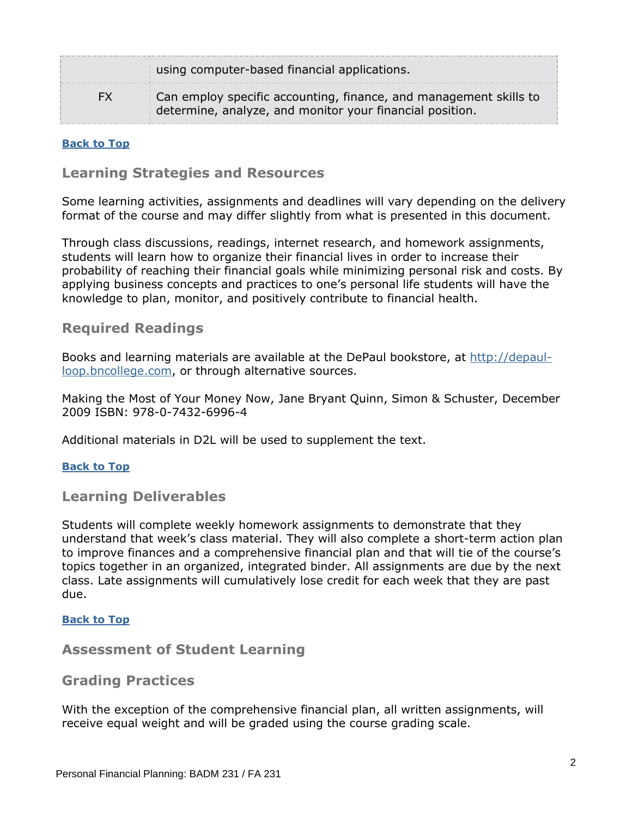|     | using computer-based financial applications.                                                                                  |  |
|-----|-------------------------------------------------------------------------------------------------------------------------------|--|
| FX. | Can employ specific accounting, finance, and management skills to<br>determine, analyze, and monitor your financial position. |  |

#### <span id="page-1-0"></span>**[Back to Top](#page-0-1)**

#### **Learning Strategies and Resources**

Some learning activities, assignments and deadlines will vary depending on the delivery format of the course and may differ slightly from what is presented in this document.

Through class discussions, readings, internet research, and homework assignments, students will learn how to organize their financial lives in order to increase their probability of reaching their financial goals while minimizing personal risk and costs. By applying business concepts and practices to one's personal life students will have the knowledge to plan, monitor, and positively contribute to financial health.

#### **Required Readings**

Books and learning materials are available at the DePaul bookstore, at [http://depaul](http://depaul-loop.bncollege.com/)[loop.bncollege.com,](http://depaul-loop.bncollege.com/) or through alternative sources.

Making the Most of Your Money Now, Jane Bryant Quinn, Simon & Schuster, December 2009 ISBN: 978-0-7432-6996-4

Additional materials in D2L will be used to supplement the text.

#### **[Back to Top](#page-0-1)**

<span id="page-1-1"></span>**Learning Deliverables**

Students will complete weekly homework assignments to demonstrate that they understand that week's class material. They will also complete a short-term action plan to improve finances and a comprehensive financial plan and that will tie of the course's topics together in an organized, integrated binder. All assignments are due by the next class. Late assignments will cumulatively lose credit for each week that they are past due.

#### **[Back to Top](#page-0-1)**

#### <span id="page-1-2"></span>**Assessment of Student Learning**

#### **Grading Practices**

With the exception of the comprehensive financial plan, all written assignments, will receive equal weight and will be graded using the course grading scale.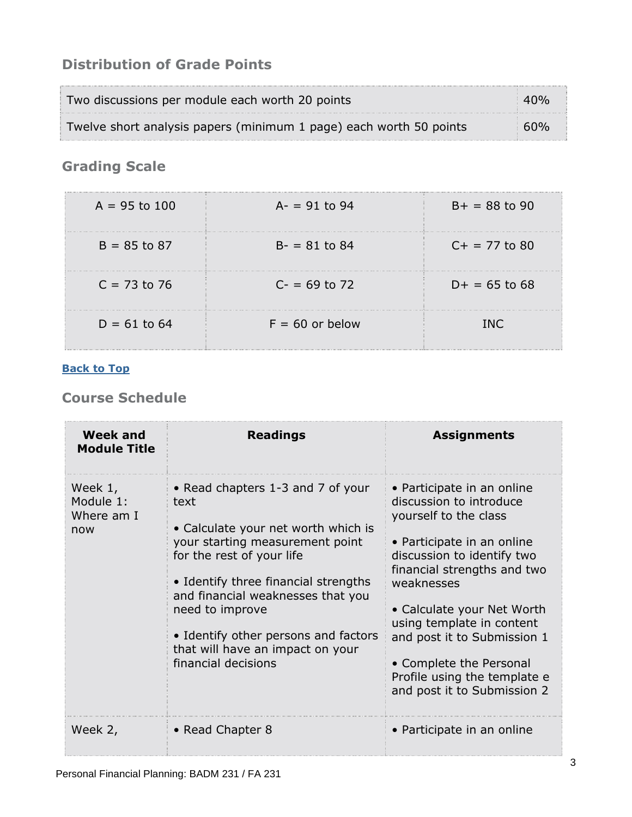# **Distribution of Grade Points**

| Two discussions per module each worth 20 points                    | 40 <sub>%</sub> |
|--------------------------------------------------------------------|-----------------|
| Twelve short analysis papers (minimum 1 page) each worth 50 points | $60\%$          |

# **Grading Scale**

| $A = 95$ to 100 | $A = 91$ to 94    | $B+ = 88$ to 90 |
|-----------------|-------------------|-----------------|
| $B = 85$ to 87  | $B - 81$ to 84    | $C+ = 77$ to 80 |
| $C = 73$ to 76  | $C - 69$ to 72    | $D+ = 65$ to 68 |
| $D = 61$ to 64  | $F = 60$ or below | <b>TNC</b>      |

## **[Back to Top](#page-0-1)**

# <span id="page-2-0"></span>**Course Schedule**

| <b>Week and</b><br><b>Module Title</b>    | <b>Readings</b>                                                                                                                                                                                                                                                                                                                                     | <b>Assignments</b>                                                                                                                                                                                                                                                                                                                                                          |
|-------------------------------------------|-----------------------------------------------------------------------------------------------------------------------------------------------------------------------------------------------------------------------------------------------------------------------------------------------------------------------------------------------------|-----------------------------------------------------------------------------------------------------------------------------------------------------------------------------------------------------------------------------------------------------------------------------------------------------------------------------------------------------------------------------|
| Week 1,<br>Module 1:<br>Where am I<br>now | • Read chapters 1-3 and 7 of your<br>text<br>• Calculate your net worth which is<br>your starting measurement point<br>for the rest of your life<br>• Identify three financial strengths<br>and financial weaknesses that you<br>need to improve<br>• Identify other persons and factors<br>that will have an impact on your<br>financial decisions | • Participate in an online<br>discussion to introduce<br>yourself to the class<br>• Participate in an online<br>discussion to identify two<br>financial strengths and two<br>weaknesses<br>• Calculate your Net Worth<br>using template in content<br>and post it to Submission 1<br>• Complete the Personal<br>Profile using the template e<br>and post it to Submission 2 |
| Week 2,                                   | • Read Chapter 8                                                                                                                                                                                                                                                                                                                                    | • Participate in an online                                                                                                                                                                                                                                                                                                                                                  |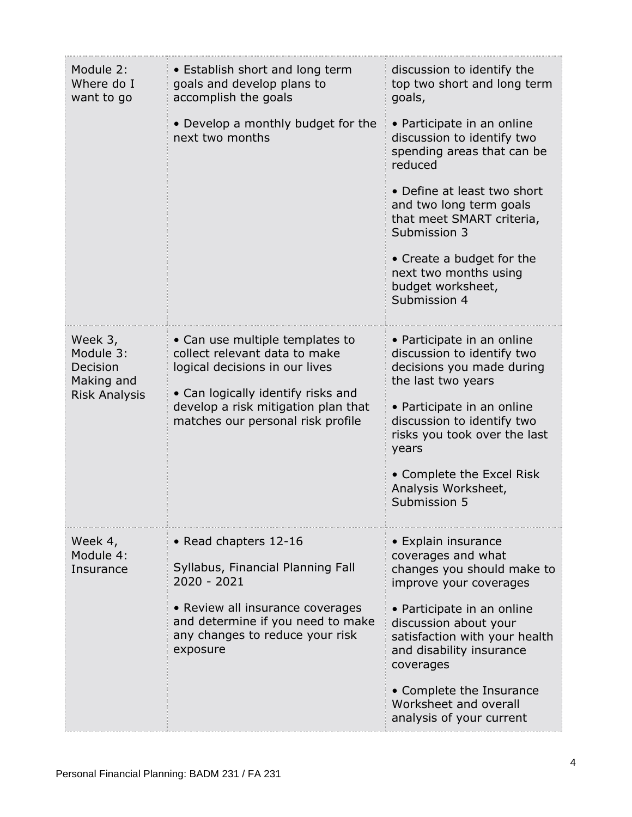| Module 2:<br>Where do I<br>want to go                                  | • Establish short and long term<br>goals and develop plans to<br>accomplish the goals                                                                                                                                | discussion to identify the<br>top two short and long term<br>goals,                                                                                                                                                                                                                  |
|------------------------------------------------------------------------|----------------------------------------------------------------------------------------------------------------------------------------------------------------------------------------------------------------------|--------------------------------------------------------------------------------------------------------------------------------------------------------------------------------------------------------------------------------------------------------------------------------------|
|                                                                        | • Develop a monthly budget for the<br>next two months                                                                                                                                                                | • Participate in an online<br>discussion to identify two<br>spending areas that can be<br>reduced                                                                                                                                                                                    |
|                                                                        |                                                                                                                                                                                                                      | • Define at least two short<br>and two long term goals<br>that meet SMART criteria,<br>Submission 3                                                                                                                                                                                  |
|                                                                        |                                                                                                                                                                                                                      | • Create a budget for the<br>next two months using<br>budget worksheet,<br>Submission 4                                                                                                                                                                                              |
| Week 3,<br>Module 3:<br>Decision<br>Making and<br><b>Risk Analysis</b> | • Can use multiple templates to<br>collect relevant data to make<br>logical decisions in our lives<br>• Can logically identify risks and<br>develop a risk mitigation plan that<br>matches our personal risk profile | • Participate in an online<br>discussion to identify two<br>decisions you made during<br>the last two years<br>• Participate in an online<br>discussion to identify two<br>risks you took over the last<br>years<br>• Complete the Excel Risk<br>Analysis Worksheet,<br>Submission 5 |
| Week 4,<br>Module 4:<br>Insurance                                      | • Read chapters 12-16<br>Syllabus, Financial Planning Fall<br>$2020 - 2021$                                                                                                                                          | • Explain insurance<br>coverages and what<br>changes you should make to<br>improve your coverages                                                                                                                                                                                    |
|                                                                        | • Review all insurance coverages<br>and determine if you need to make<br>any changes to reduce your risk<br>exposure                                                                                                 | • Participate in an online<br>discussion about your<br>satisfaction with your health<br>and disability insurance<br>coverages                                                                                                                                                        |
|                                                                        |                                                                                                                                                                                                                      | • Complete the Insurance<br>Worksheet and overall<br>analysis of your current                                                                                                                                                                                                        |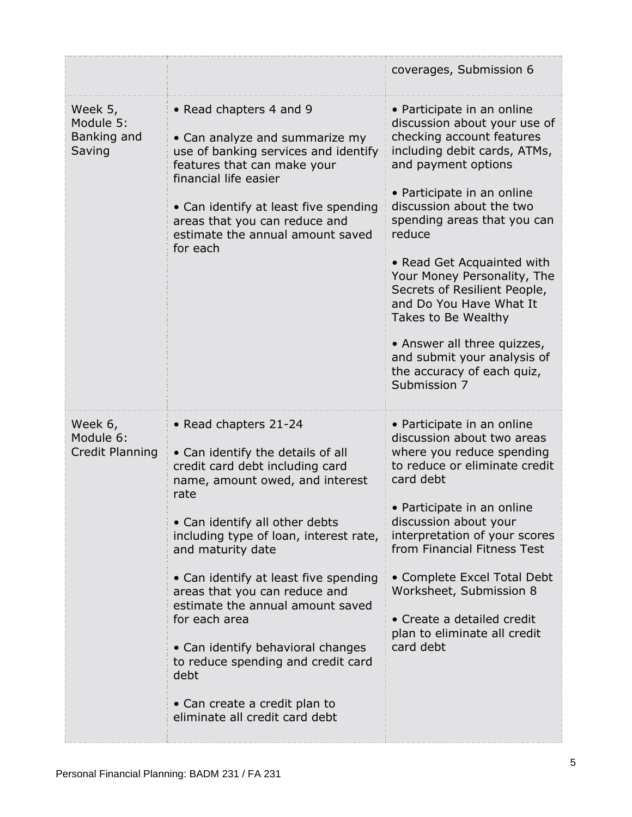|                                               |                                                                                                                                                                                                                                                                                                                                                                                                                                                                                                                                | coverages, Submission 6                                                                                                                                                                                                                                                                                                                                                                                                                                                                                      |
|-----------------------------------------------|--------------------------------------------------------------------------------------------------------------------------------------------------------------------------------------------------------------------------------------------------------------------------------------------------------------------------------------------------------------------------------------------------------------------------------------------------------------------------------------------------------------------------------|--------------------------------------------------------------------------------------------------------------------------------------------------------------------------------------------------------------------------------------------------------------------------------------------------------------------------------------------------------------------------------------------------------------------------------------------------------------------------------------------------------------|
| Week 5,<br>Module 5:<br>Banking and<br>Saving | • Read chapters 4 and 9<br>• Can analyze and summarize my<br>use of banking services and identify<br>features that can make your<br>financial life easier<br>• Can identify at least five spending<br>areas that you can reduce and<br>estimate the annual amount saved<br>for each                                                                                                                                                                                                                                            | • Participate in an online<br>discussion about your use of<br>checking account features<br>including debit cards, ATMs,<br>and payment options<br>• Participate in an online<br>discussion about the two<br>spending areas that you can<br>reduce<br>• Read Get Acquainted with<br>Your Money Personality, The<br>Secrets of Resilient People,<br>and Do You Have What It<br>Takes to Be Wealthy<br>• Answer all three quizzes,<br>and submit your analysis of<br>the accuracy of each quiz,<br>Submission 7 |
| Week 6,<br>Module 6:<br>Credit Planning       | • Read chapters 21-24<br>• Can identify the details of all<br>credit card debt including card<br>name, amount owed, and interest<br>rate<br>• Can identify all other debts<br>including type of loan, interest rate,<br>and maturity date<br>• Can identify at least five spending<br>areas that you can reduce and<br>estimate the annual amount saved<br>for each area<br>• Can identify behavioral changes<br>to reduce spending and credit card<br>debt<br>• Can create a credit plan to<br>eliminate all credit card debt | • Participate in an online<br>discussion about two areas<br>where you reduce spending<br>to reduce or eliminate credit<br>card debt<br>• Participate in an online<br>discussion about your<br>interpretation of your scores<br>from Financial Fitness Test<br>• Complete Excel Total Debt<br>Worksheet, Submission 8<br>• Create a detailed credit<br>plan to eliminate all credit<br>card debt                                                                                                              |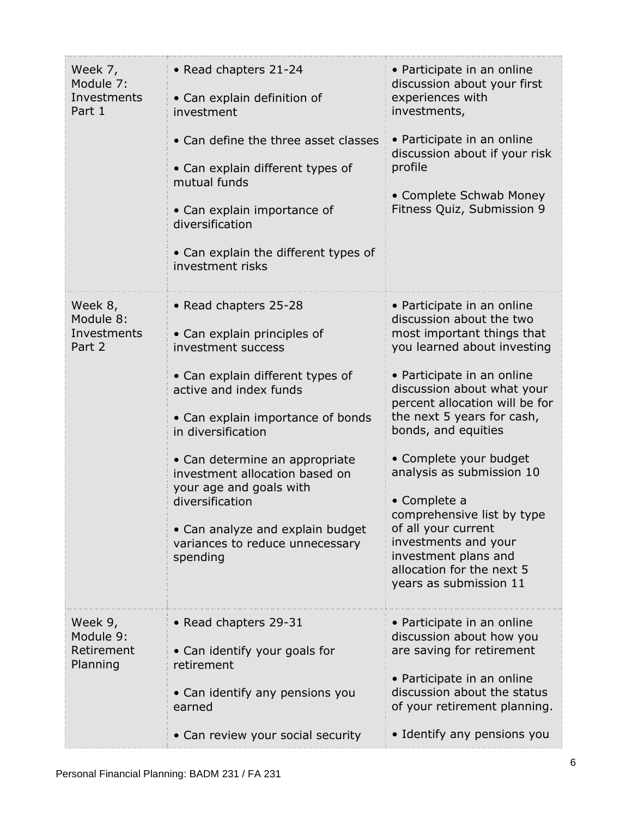| Week 7,<br>Module 7:<br>Investments<br>Part 1  | • Read chapters 21-24<br>• Can explain definition of<br>investment<br>• Can define the three asset classes<br>• Can explain different types of<br>mutual funds<br>• Can explain importance of<br>diversification<br>• Can explain the different types of<br>investment risks                                                                                                                             | • Participate in an online<br>discussion about your first<br>experiences with<br>investments,<br>• Participate in an online<br>discussion about if your risk<br>profile<br>• Complete Schwab Money<br>Fitness Quiz, Submission 9                                                                                                                                                                                                                                                                          |
|------------------------------------------------|----------------------------------------------------------------------------------------------------------------------------------------------------------------------------------------------------------------------------------------------------------------------------------------------------------------------------------------------------------------------------------------------------------|-----------------------------------------------------------------------------------------------------------------------------------------------------------------------------------------------------------------------------------------------------------------------------------------------------------------------------------------------------------------------------------------------------------------------------------------------------------------------------------------------------------|
| Week 8,<br>Module 8:<br>Investments<br>Part 2  | • Read chapters 25-28<br>• Can explain principles of<br>investment success<br>• Can explain different types of<br>active and index funds<br>• Can explain importance of bonds<br>in diversification<br>• Can determine an appropriate<br>investment allocation based on<br>your age and goals with<br>diversification<br>• Can analyze and explain budget<br>variances to reduce unnecessary<br>spending | • Participate in an online<br>discussion about the two<br>most important things that<br>you learned about investing<br>• Participate in an online<br>discussion about what your<br>percent allocation will be for<br>the next 5 years for cash,<br>bonds, and equities<br>• Complete your budget<br>analysis as submission 10<br>• Complete a<br>comprehensive list by type<br>of all your current<br>investments and your<br>investment plans and<br>allocation for the next 5<br>years as submission 11 |
| Week 9,<br>Module 9:<br>Retirement<br>Planning | • Read chapters 29-31<br>• Can identify your goals for<br>retirement<br>• Can identify any pensions you<br>earned<br>• Can review your social security                                                                                                                                                                                                                                                   | • Participate in an online<br>discussion about how you<br>are saving for retirement<br>• Participate in an online<br>discussion about the status<br>of your retirement planning.<br>• Identify any pensions you                                                                                                                                                                                                                                                                                           |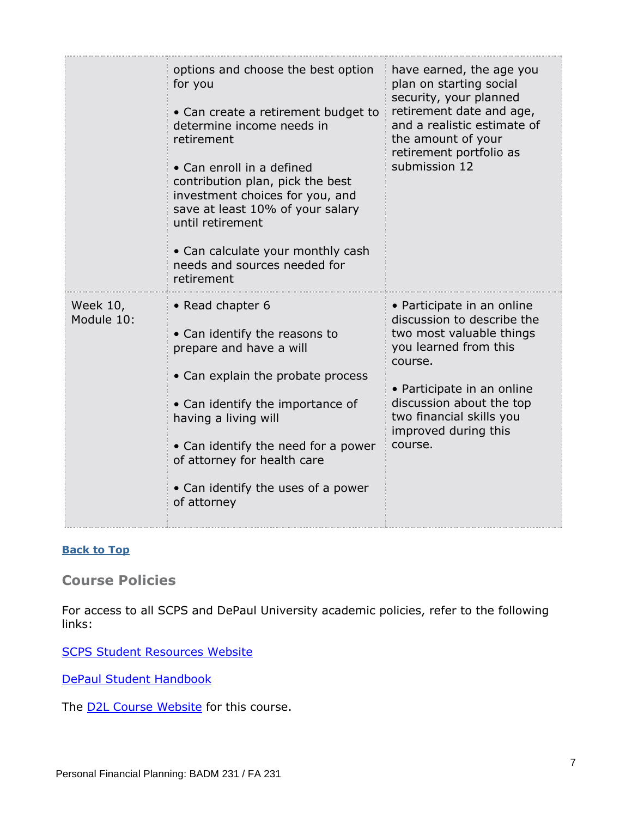|                        | options and choose the best option<br>for you<br>• Can create a retirement budget to<br>determine income needs in<br>retirement<br>• Can enroll in a defined<br>contribution plan, pick the best<br>investment choices for you, and<br>save at least 10% of your salary<br>until retirement<br>• Can calculate your monthly cash<br>needs and sources needed for<br>retirement | have earned, the age you<br>plan on starting social<br>security, your planned<br>retirement date and age,<br>and a realistic estimate of<br>the amount of your<br>retirement portfolio as<br>submission 12                                        |
|------------------------|--------------------------------------------------------------------------------------------------------------------------------------------------------------------------------------------------------------------------------------------------------------------------------------------------------------------------------------------------------------------------------|---------------------------------------------------------------------------------------------------------------------------------------------------------------------------------------------------------------------------------------------------|
| Week 10,<br>Module 10: | • Read chapter 6<br>• Can identify the reasons to<br>prepare and have a will<br>• Can explain the probate process<br>• Can identify the importance of<br>having a living will<br>• Can identify the need for a power<br>of attorney for health care<br>• Can identify the uses of a power<br>of attorney                                                                       | • Participate in an online<br>discussion to describe the<br>two most valuable things<br>you learned from this<br>course.<br>• Participate in an online<br>discussion about the top<br>two financial skills you<br>improved during this<br>course. |

#### **[Back to Top](#page-0-1)**

<span id="page-6-0"></span>**Course Policies**

For access to all SCPS and DePaul University academic policies, refer to the following links:

[SCPS Student Resources Website](https://scps.depaul.edu/student-resources/Pages/default.aspx)

[DePaul Student Handbook](https://catalog.depaul.edu/student-handbooks/)

The **D2L Course Website** for this course.